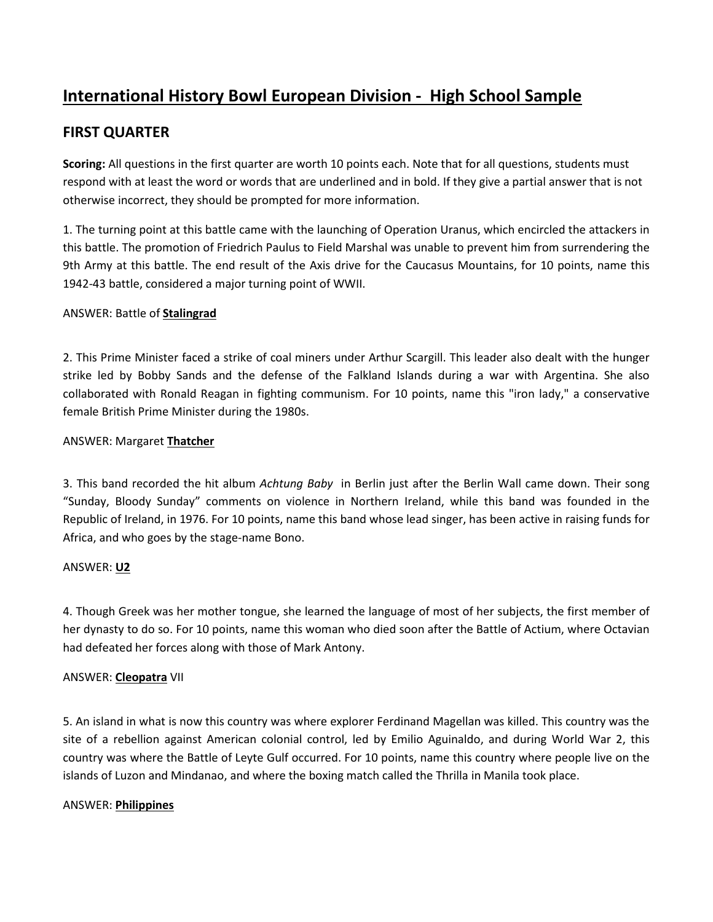# **International History Bowl European Division - High School Sample**

# **FIRST QUARTER**

**Scoring:** All questions in the first quarter are worth 10 points each. Note that for all questions, students must respond with at least the word or words that are underlined and in bold. If they give a partial answer that is not otherwise incorrect, they should be prompted for more information.

1. The turning point at this battle came with the launching of Operation Uranus, which encircled the attackers in this battle. The promotion of Friedrich Paulus to Field Marshal was unable to prevent him from surrendering the 9th Army at this battle. The end result of the Axis drive for the Caucasus Mountains, for 10 points, name this 1942-43 battle, considered a major turning point of WWII.

## ANSWER: Battle of **Stalingrad**

2. This Prime Minister faced a strike of coal miners under Arthur Scargill. This leader also dealt with the hunger strike led by Bobby Sands and the defense of the Falkland Islands during a war with Argentina. She also collaborated with Ronald Reagan in fighting communism. For 10 points, name this "iron lady," a conservative female British Prime Minister during the 1980s.

## ANSWER: Margaret **Thatcher**

3. This band recorded the hit album *Achtung Baby* in Berlin just after the Berlin Wall came down. Their song "Sunday, Bloody Sunday" comments on violence in Northern Ireland, while this band was founded in the Republic of Ireland, in 1976. For 10 points, name this band whose lead singer, has been active in raising funds for Africa, and who goes by the stage-name Bono.

## ANSWER: **U2**

4. Though Greek was her mother tongue, she learned the language of most of her subjects, the first member of her dynasty to do so. For 10 points, name this woman who died soon after the Battle of Actium, where Octavian had defeated her forces along with those of Mark Antony.

## ANSWER: **Cleopatra** VII

5. An island in what is now this country was where explorer Ferdinand Magellan was killed. This country was the site of a rebellion against American colonial control, led by Emilio Aguinaldo, and during World War 2, this country was where the Battle of Leyte Gulf occurred. For 10 points, name this country where people live on the islands of Luzon and Mindanao, and where the boxing match called the Thrilla in Manila took place.

## ANSWER: **Philippines**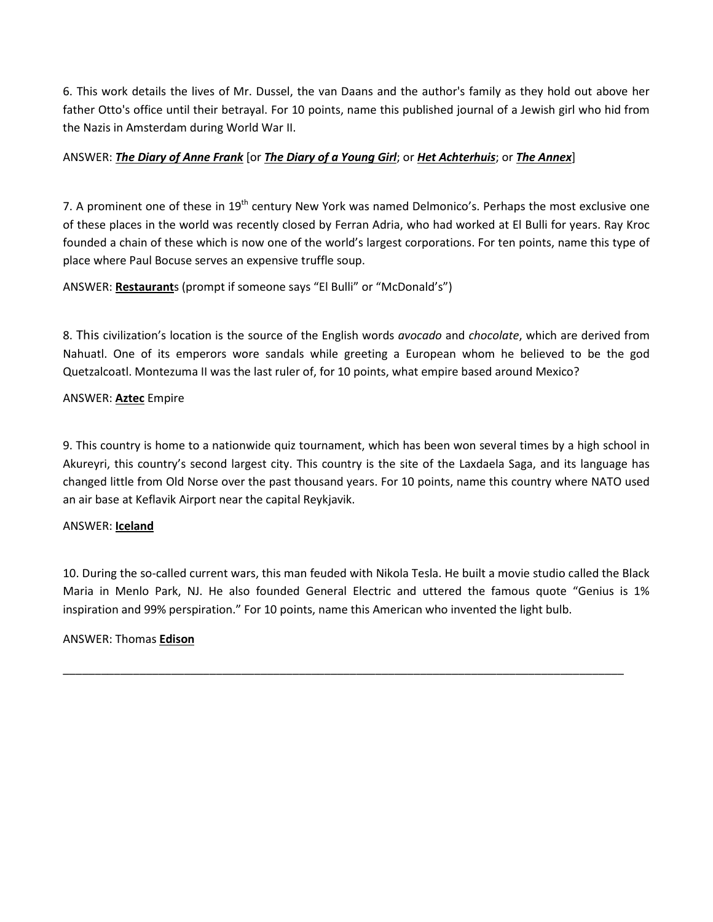6. This work details the lives of Mr. Dussel, the van Daans and the author's family as they hold out above her father Otto's office until their betrayal. For 10 points, name this published journal of a Jewish girl who hid from the Nazis in Amsterdam during World War II.

## ANSWER: *The Diary of Anne Frank* [or *The Diary of a Young Girl*; or *Het Achterhuis*; or *The Annex*]

7. A prominent one of these in 19<sup>th</sup> century New York was named Delmonico's. Perhaps the most exclusive one of these places in the world was recently closed by Ferran Adria, who had worked at El Bulli for years. Ray Kroc founded a chain of these which is now one of the world's largest corporations. For ten points, name this type of place where Paul Bocuse serves an expensive truffle soup.

ANSWER: **Restaurant**s (prompt if someone says "El Bulli" or "McDonald's")

8. This civilization's location is the source of the English words *avocado* and *chocolate*, which are derived from Nahuatl. One of its emperors wore sandals while greeting a European whom he believed to be the god Quetzalcoatl. Montezuma II was the last ruler of, for 10 points, what empire based around Mexico?

### ANSWER: **Aztec** Empire

9. This country is home to a nationwide quiz tournament, which has been won several times by a high school in Akureyri, this country's second largest city. This country is the site of the Laxdaela Saga, and its language has changed little from Old Norse over the past thousand years. For 10 points, name this country where NATO used an air base at Keflavik Airport near the capital Reykjavik.

#### ANSWER: **Iceland**

10. During the so-called current wars, this man feuded with Nikola Tesla. He built a movie studio called the Black Maria in Menlo Park, NJ. He also founded General Electric and uttered the famous quote "Genius is 1% inspiration and 99% perspiration." For 10 points, name this American who invented the light bulb.

\_\_\_\_\_\_\_\_\_\_\_\_\_\_\_\_\_\_\_\_\_\_\_\_\_\_\_\_\_\_\_\_\_\_\_\_\_\_\_\_\_\_\_\_\_\_\_\_\_\_\_\_\_\_\_\_\_\_\_\_\_\_\_\_\_\_\_\_\_\_\_\_\_\_\_\_\_\_\_\_\_\_\_\_\_\_\_\_

## ANSWER: Thomas **Edison**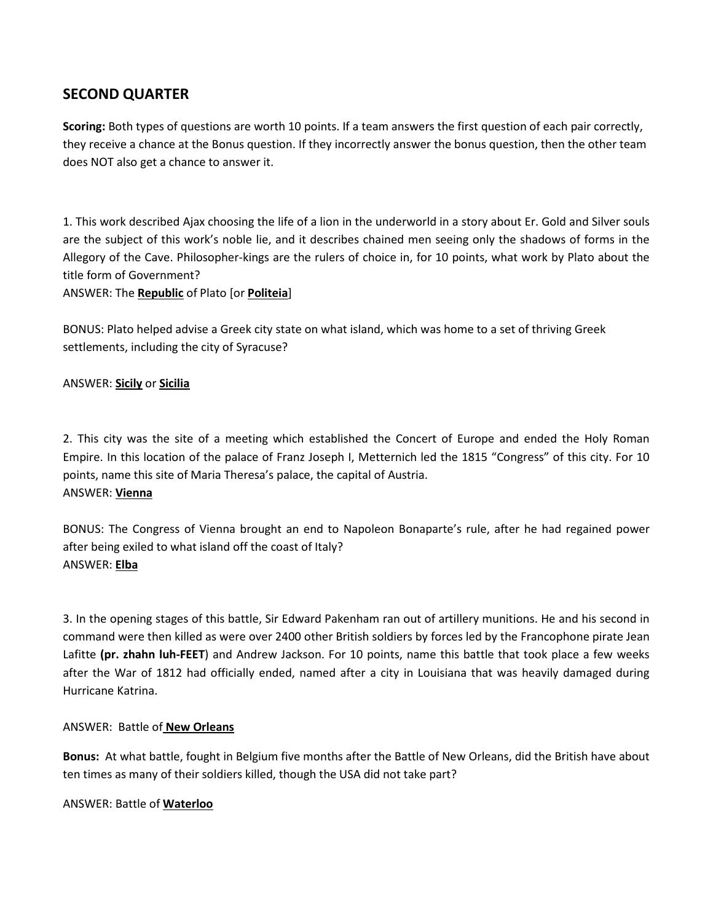# **SECOND QUARTER**

**Scoring:** Both types of questions are worth 10 points. If a team answers the first question of each pair correctly, they receive a chance at the Bonus question. If they incorrectly answer the bonus question, then the other team does NOT also get a chance to answer it.

1. This work described Ajax choosing the life of a lion in the underworld in a story about Er. Gold and Silver souls are the subject of this work's noble lie, and it describes chained men seeing only the shadows of forms in the Allegory of the Cave. Philosopher-kings are the rulers of choice in, for 10 points, what work by Plato about the title form of Government?

ANSWER: The **Republic** of Plato [or **Politeia**]

BONUS: Plato helped advise a Greek city state on what island, which was home to a set of thriving Greek settlements, including the city of Syracuse?

### ANSWER: **Sicily** or **Sicilia**

2. This city was the site of a meeting which established the Concert of Europe and ended the Holy Roman Empire. In this location of the palace of Franz Joseph I, Metternich led the 1815 "Congress" of this city. For 10 points, name this site of Maria Theresa's palace, the capital of Austria. ANSWER: **Vienna**

BONUS: The Congress of Vienna brought an end to Napoleon Bonaparte's rule, after he had regained power after being exiled to what island off the coast of Italy? ANSWER: **Elba**

3. In the opening stages of this battle, Sir Edward Pakenham ran out of artillery munitions. He and his second in command were then killed as were over 2400 other British soldiers by forces led by the Francophone pirate Jean Lafitte **(pr. zhahn luh-FEET**) and Andrew Jackson. For 10 points, name this battle that took place a few weeks after the War of 1812 had officially ended, named after a city in Louisiana that was heavily damaged during Hurricane Katrina.

#### ANSWER: Battle of **New Orleans**

**Bonus:** At what battle, fought in Belgium five months after the Battle of New Orleans, did the British have about ten times as many of their soldiers killed, though the USA did not take part?

#### ANSWER: Battle of **Waterloo**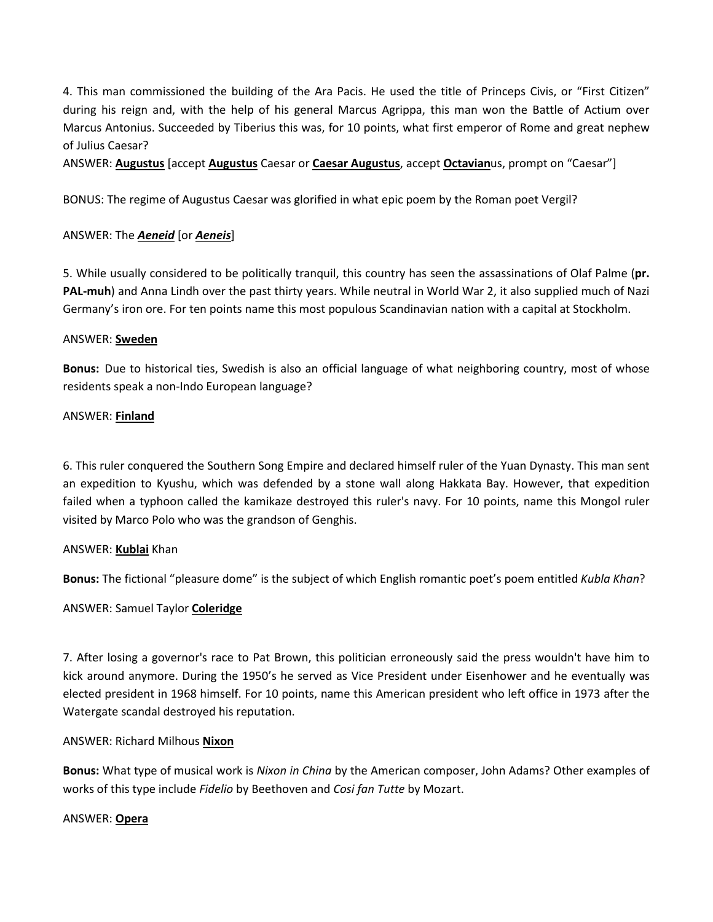4. This man commissioned the building of the Ara Pacis. He used the title of Princeps Civis, or "First Citizen" during his reign and, with the help of his general Marcus Agrippa, this man won the Battle of Actium over Marcus Antonius. Succeeded by Tiberius this was, for 10 points, what first emperor of Rome and great nephew of Julius Caesar?

ANSWER: **Augustus** [accept **Augustus** Caesar or **Caesar Augustus**, accept **Octavian**us, prompt on "Caesar"]

BONUS: The regime of Augustus Caesar was glorified in what epic poem by the Roman poet Vergil?

### ANSWER: The *Aeneid* [or *Aeneis*]

5. While usually considered to be politically tranquil, this country has seen the assassinations of Olaf Palme (**pr. PAL-muh**) and Anna Lindh over the past thirty years. While neutral in World War 2, it also supplied much of Nazi Germany's iron ore. For ten points name this most populous Scandinavian nation with a capital at Stockholm.

#### ANSWER: **Sweden**

**Bonus:** Due to historical ties, Swedish is also an official language of what neighboring country, most of whose residents speak a non-Indo European language?

#### ANSWER: **Finland**

6. This ruler conquered the Southern Song Empire and declared himself ruler of the Yuan Dynasty. This man sent an expedition to Kyushu, which was defended by a stone wall along Hakkata Bay. However, that expedition failed when a typhoon called the kamikaze destroyed this ruler's navy. For 10 points, name this Mongol ruler visited by Marco Polo who was the grandson of Genghis.

#### ANSWER: **Kublai** Khan

**Bonus:** The fictional "pleasure dome" is the subject of which English romantic poet's poem entitled *Kubla Khan*?

## ANSWER: Samuel Taylor **Coleridge**

7. After losing a governor's race to Pat Brown, this politician erroneously said the press wouldn't have him to kick around anymore. During the 1950's he served as Vice President under Eisenhower and he eventually was elected president in 1968 himself. For 10 points, name this American president who left office in 1973 after the Watergate scandal destroyed his reputation.

#### ANSWER: Richard Milhous **Nixon**

**Bonus:** What type of musical work is *Nixon in China* by the American composer, John Adams? Other examples of works of this type include *Fidelio* by Beethoven and *Cosi fan Tutte* by Mozart.

#### ANSWER: **Opera**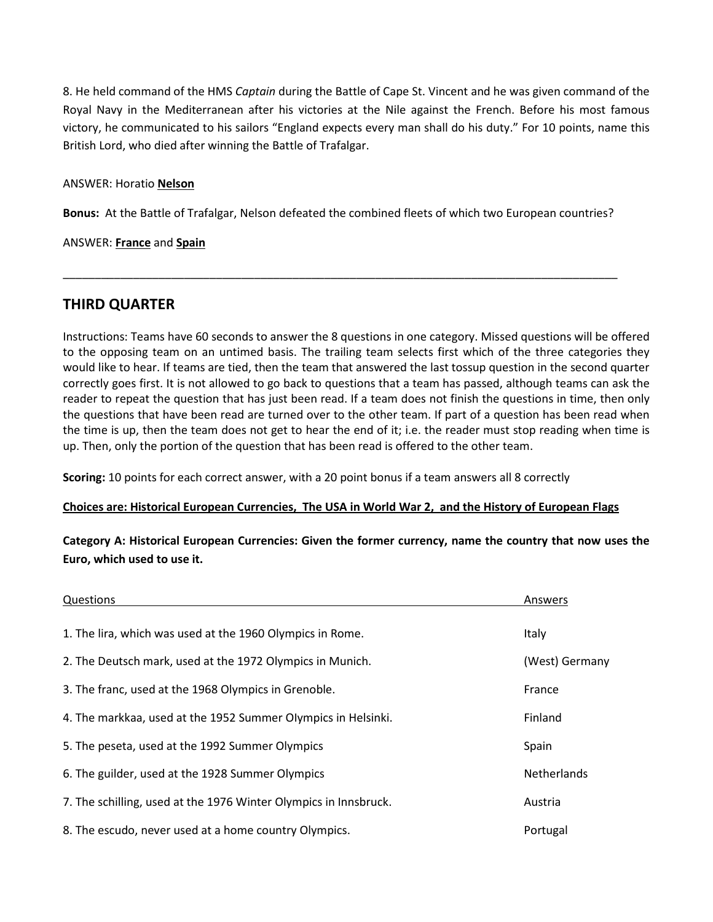8. He held command of the HMS *Captain* during the Battle of Cape St. Vincent and he was given command of the Royal Navy in the Mediterranean after his victories at the Nile against the French. Before his most famous victory, he communicated to his sailors "England expects every man shall do his duty." For 10 points, name this British Lord, who died after winning the Battle of Trafalgar.

#### ANSWER: Horatio **Nelson**

**Bonus:** At the Battle of Trafalgar, Nelson defeated the combined fleets of which two European countries?

\_\_\_\_\_\_\_\_\_\_\_\_\_\_\_\_\_\_\_\_\_\_\_\_\_\_\_\_\_\_\_\_\_\_\_\_\_\_\_\_\_\_\_\_\_\_\_\_\_\_\_\_\_\_\_\_\_\_\_\_\_\_\_\_\_\_\_\_\_\_\_\_\_\_\_\_\_\_\_\_\_\_\_\_\_\_\_

ANSWER: **France** and **Spain**

## **THIRD QUARTER**

Instructions: Teams have 60 seconds to answer the 8 questions in one category. Missed questions will be offered to the opposing team on an untimed basis. The trailing team selects first which of the three categories they would like to hear. If teams are tied, then the team that answered the last tossup question in the second quarter correctly goes first. It is not allowed to go back to questions that a team has passed, although teams can ask the reader to repeat the question that has just been read. If a team does not finish the questions in time, then only the questions that have been read are turned over to the other team. If part of a question has been read when the time is up, then the team does not get to hear the end of it; i.e. the reader must stop reading when time is up. Then, only the portion of the question that has been read is offered to the other team.

**Scoring:** 10 points for each correct answer, with a 20 point bonus if a team answers all 8 correctly

#### **Choices are: Historical European Currencies, The USA in World War 2, and the History of European Flags**

**Category A: Historical European Currencies: Given the former currency, name the country that now uses the Euro, which used to use it.**

| Questions                                                        | Answers        |
|------------------------------------------------------------------|----------------|
|                                                                  |                |
| 1. The lira, which was used at the 1960 Olympics in Rome.        | Italy          |
| 2. The Deutsch mark, used at the 1972 Olympics in Munich.        | (West) Germany |
| 3. The franc, used at the 1968 Olympics in Grenoble.             | France         |
| 4. The markkaa, used at the 1952 Summer Olympics in Helsinki.    | Finland        |
| 5. The peseta, used at the 1992 Summer Olympics                  | Spain          |
| 6. The guilder, used at the 1928 Summer Olympics                 | Netherlands    |
| 7. The schilling, used at the 1976 Winter Olympics in Innsbruck. | Austria        |
| 8. The escudo, never used at a home country Olympics.            | Portugal       |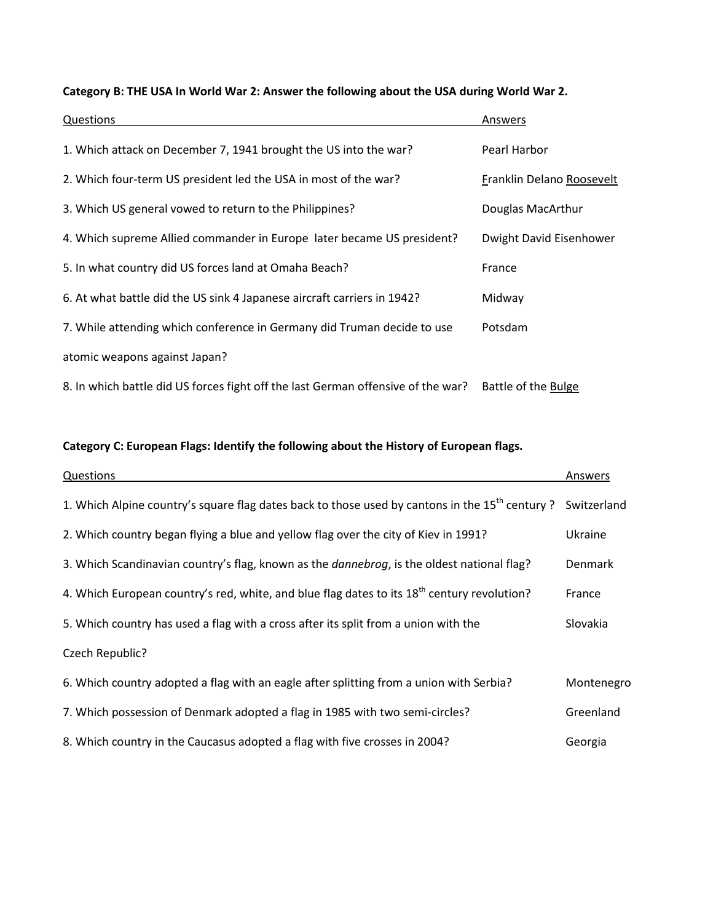| Questions                                                                        | Answers                   |
|----------------------------------------------------------------------------------|---------------------------|
| 1. Which attack on December 7, 1941 brought the US into the war?                 | Pearl Harbor              |
| 2. Which four-term US president led the USA in most of the war?                  | Franklin Delano Roosevelt |
| 3. Which US general vowed to return to the Philippines?                          | Douglas MacArthur         |
| 4. Which supreme Allied commander in Europe later became US president?           | Dwight David Eisenhower   |
| 5. In what country did US forces land at Omaha Beach?                            | France                    |
| 6. At what battle did the US sink 4 Japanese aircraft carriers in 1942?          | Midway                    |
| 7. While attending which conference in Germany did Truman decide to use          | Potsdam                   |
| atomic weapons against Japan?                                                    |                           |
| 8. In which battle did US forces fight off the last German offensive of the war? | Battle of the Bulge       |

## **Category B: THE USA In World War 2: Answer the following about the USA during World War 2.**

## **Category C: European Flags: Identify the following about the History of European flags.**

| Questions                                                                                                  | Answers        |
|------------------------------------------------------------------------------------------------------------|----------------|
| 1. Which Alpine country's square flag dates back to those used by cantons in the 15 <sup>th</sup> century? | Switzerland    |
| 2. Which country began flying a blue and yellow flag over the city of Kiev in 1991?                        | Ukraine        |
| 3. Which Scandinavian country's flag, known as the <i>dannebrog</i> , is the oldest national flag?         | <b>Denmark</b> |
| 4. Which European country's red, white, and blue flag dates to its $18^{th}$ century revolution?           | France         |
| 5. Which country has used a flag with a cross after its split from a union with the                        | Slovakia       |
| Czech Republic?                                                                                            |                |
| 6. Which country adopted a flag with an eagle after splitting from a union with Serbia?                    | Montenegro     |
| 7. Which possession of Denmark adopted a flag in 1985 with two semi-circles?                               | Greenland      |
| 8. Which country in the Caucasus adopted a flag with five crosses in 2004?                                 | Georgia        |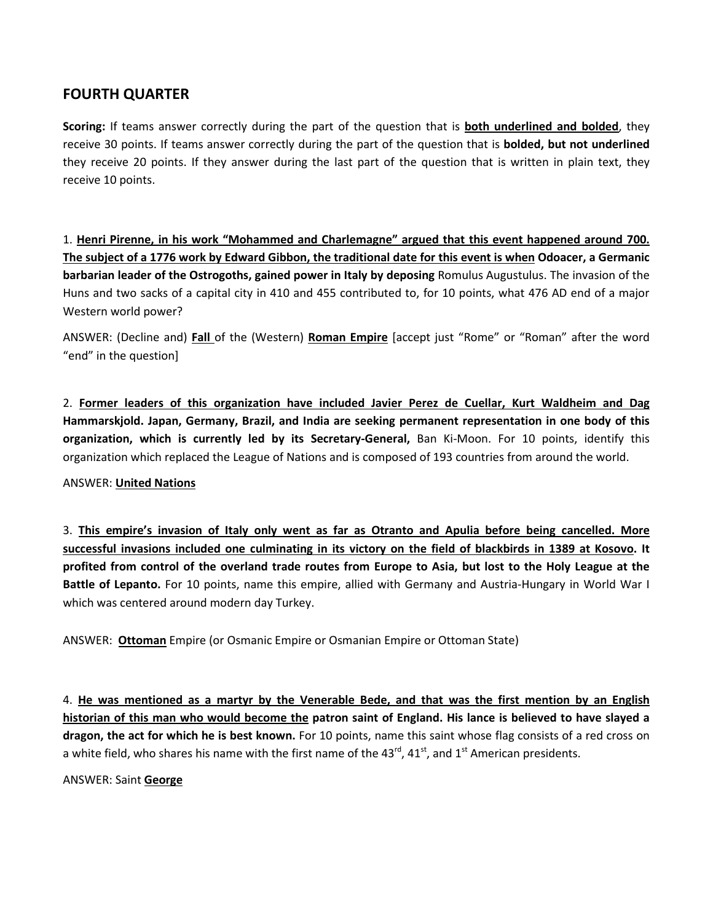## **FOURTH QUARTER**

**Scoring:** If teams answer correctly during the part of the question that is **both underlined and bolded**, they receive 30 points. If teams answer correctly during the part of the question that is **bolded, but not underlined**  they receive 20 points. If they answer during the last part of the question that is written in plain text, they receive 10 points.

1. **Henri Pirenne, in his work "Mohammed and Charlemagne" argued that this event happened around 700. The subject of a 1776 work by Edward Gibbon, the traditional date for this event is when Odoacer, a Germanic barbarian leader of the Ostrogoths, gained power in Italy by deposing** Romulus Augustulus. The invasion of the Huns and two sacks of a capital city in 410 and 455 contributed to, for 10 points, what 476 AD end of a major Western world power?

ANSWER: (Decline and) **Fall** of the (Western) **Roman Empire** [accept just "Rome" or "Roman" after the word "end" in the question]

2. **Former leaders of this organization have included Javier Perez de Cuellar, Kurt Waldheim and Dag Hammarskjold. Japan, Germany, Brazil, and India are seeking permanent representation in one body of this organization, which is currently led by its Secretary-General,** Ban Ki-Moon. For 10 points, identify this organization which replaced the League of Nations and is composed of 193 countries from around the world.

#### ANSWER: **United Nations**

3. **This empire's invasion of Italy only went as far as Otranto and Apulia before being cancelled. More successful invasions included one culminating in its victory on the field of blackbirds in 1389 at Kosovo. It profited from control of the overland trade routes from Europe to Asia, but lost to the Holy League at the Battle of Lepanto.** For 10 points, name this empire, allied with Germany and Austria-Hungary in World War I which was centered around modern day Turkey.

ANSWER: **Ottoman** Empire (or Osmanic Empire or Osmanian Empire or Ottoman State)

4. **He was mentioned as a martyr by the Venerable Bede, and that was the first mention by an English historian of this man who would become the patron saint of England. His lance is believed to have slayed a dragon, the act for which he is best known.** For 10 points, name this saint whose flag consists of a red cross on a white field, who shares his name with the first name of the 43 $^{rd}$ , 41 $^{st}$ , and 1 $^{st}$  American presidents.

ANSWER: Saint **George**